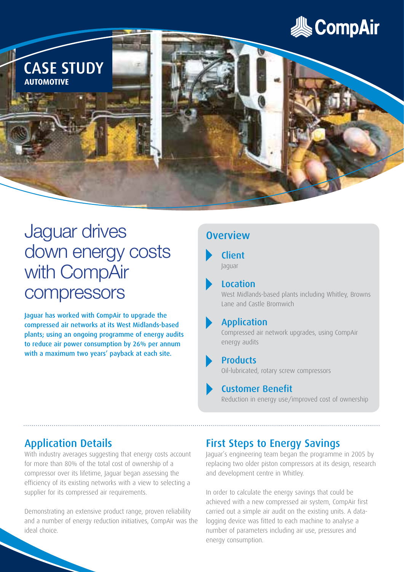



# Jaguar drives down energy costs with CompAir compressors

Jaguar has worked with CompAir to upgrade the compressed air networks at its West Midlands-based plants; using an ongoing programme of energy audits to reduce air power consumption by 26% per annum with a maximum two years' payback at each site.

## **Overview**

#### **Client** Jaguar

#### Location

West Midlands-based plants including Whitley, Browns Lane and Castle Bromwich

#### Application

Compressed air network upgrades, using CompAir energy audits

#### Products

Oil-lubricated, rotary screw compressors

#### Customer Benefit

Reduction in energy use/improved cost of ownership

## Application Details

With industry averages suggesting that energy costs account for more than 80% of the total cost of ownership of a compressor over its lifetime, Jaguar began assessing the efficiency of its existing networks with a view to selecting a supplier for its compressed air requirements.

Demonstrating an extensive product range, proven reliability and a number of energy reduction initiatives, CompAir was the ideal choice.

### First Steps to Energy Savings

Jaguar's engineering team began the programme in 2005 by replacing two older piston compressors at its design, research and development centre in Whitley.

In order to calculate the energy savings that could be achieved with a new compressed air system, CompAir first carried out a simple air audit on the existing units. A datalogging device was fitted to each machine to analyse a number of parameters including air use, pressures and energy consumption.